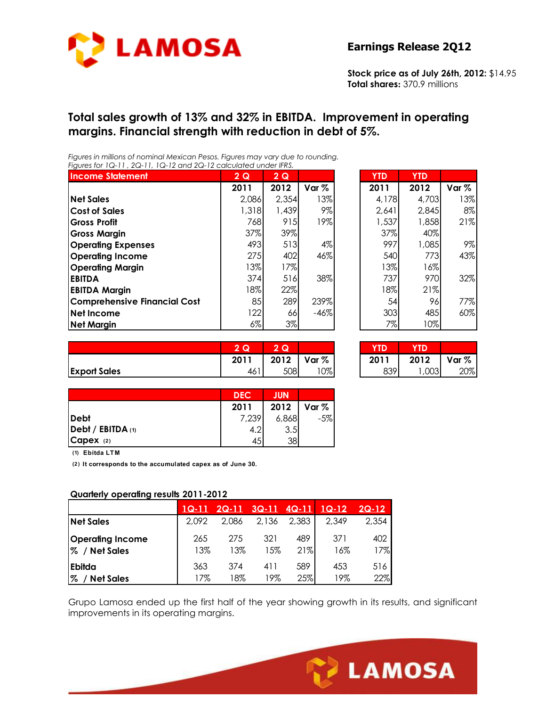

**Stock price as of July 26th, 2012:** \$14.95 **Total shares:** 370.9 millions

#### **Total sales growth of 13% and 32% in EBITDA. Improvement in operating margins. Financial strength with reduction in debt of 5%.**

*Figures in millions of nominal Mexican Pesos. Figures may vary due to rounding. Figures for 1Q-11 , 2Q-11, 1Q-12 and 2Q-12 calculated under IFRS.* 

| <b>Income Statement</b>             | 2Q     | 2Q    |        | <b>YTD</b> | <b>YTD</b> |         |
|-------------------------------------|--------|-------|--------|------------|------------|---------|
|                                     | 2011   | 2012  | Var %  | 2011       | 2012       | Var $%$ |
| <b>Net Sales</b>                    | 2,086  | 2,354 | 13%    | 4,178      | 4,703      | 13%     |
| <b>Cost of Sales</b>                | 1,318  | 1,439 | 9%     | 2,641      | 2,845      | 8%      |
| <b>Gross Profit</b>                 | 768    | 915   | 19%    | 1,537      | 1,858      | 21%     |
| <b>Gross Margin</b>                 | 37%    | 39%   |        | 37%        | 40%        |         |
| <b>Operating Expenses</b>           | 493    | 513   | $4\%$  | 997        | 1,085      | 9%      |
| <b>Operating Income</b>             | 275    | 402   | 46%    | 540        | 773        | 43%     |
| <b>Operating Margin</b>             | 13%    | 17%   |        | $13\%$     | 16%        |         |
| <b>EBITDA</b>                       | 374    | 516   | 38%    | 737        | 970        | 32%     |
| <b>EBITDA Margin</b>                | $18\%$ | 22%   |        | 18%        | 21%        |         |
| <b>Comprehensive Financial Cost</b> | 85     | 289   | 239%   | 54         | 96         | 77%     |
| Net Income                          | 122    | 66    | $-46%$ | 303        | 485        | 60%     |
| <b>Net Margin</b>                   | $6\%$  | 3%    |        | 7%         | 10%        |         |

| unica unaci iriv. |       |                  |            |            |       |
|-------------------|-------|------------------|------------|------------|-------|
| 2Q                | 2Q    |                  | <b>YTD</b> | <b>YTD</b> |       |
| 2011              | 2012  | Var <sub>%</sub> | 2011       | 2012       | Var % |
| 2,086             | 2,354 | 13%              | 4,178      | 4,703      | 13%   |
| 1,318             | 1,439 | 9%               | 2,641      | 2,845      | 8%    |
| 768               | 915   | 19%              | 1,537      | 1,858      | 21%   |
| 37%               | 39%   |                  | 37%        | 40%        |       |
| 493               | 513   | 4%               | 997        | 1,085      | 9%    |
| 275               | 402   | 46%              | 540        | 773        | 43%   |
| 13%               | 17%   |                  | 13%        | 16%        |       |
| 374               | 516   | 38%              | 737        | 970        | 32%   |
| 18%               | 22%   |                  | 18%        | 21%        |       |
| 85                | 289   | 239%             | 54         | 96         | 77%   |
| 122               | 66    | $-46%$           | 303        | 485        | 60%   |
| $6\%$             | 3%    |                  | 7%         | 10%        |       |

|                     | w                | $\mathbf Q$ |        | YTD  |      |       |
|---------------------|------------------|-------------|--------|------|------|-------|
|                     | 2011             | 2012        | Var %  | 2011 | 2012 | Var % |
| <b>Export Sales</b> | $\cdots$<br>-46. | 508         | $10\%$ | 839  | ,003 | 20%   |

| 2Q   |     |                          |      |       |          |
|------|-----|--------------------------|------|-------|----------|
| 2011 |     | 2012 $\sqrt{2}$ Var $\%$ | 2011 | 2012  | Var $\%$ |
| 461  | 508 | $0\%$                    | 8391 | 1,003 | 20%      |

|                   | <b>DEC</b> | <b>JUN</b> |                |
|-------------------|------------|------------|----------------|
|                   | 2011       |            | 2012   Var $%$ |
| <b>IDebt</b>      | 7,239      | 6,868      | $-5%$          |
| Debt / EBITDA (1) | 4.2        | 3.5        |                |
| Capex (2)         |            | 38         |                |

**(1) Ebitda LTM**

**(2 ) It corresponds to the accumulated capex as of June 30.**

#### **Quarterly operating results 2011-2012**

|                                          | $1Q-11$    | $2Q-11$    | $3Q-11$    | $4Q-11$    | $1Q-12$    | $2Q-12$    |
|------------------------------------------|------------|------------|------------|------------|------------|------------|
| <b>Net Sales</b>                         | 2.092      | 2.086      | 2.136      | 2,383      | 2,349      | 2.354      |
| <b>Operating Income</b><br>% / Net Sales | 265<br>13% | 275<br>13% | 321<br>15% | 489<br>21% | 371<br>16% | 402<br>17% |
| Ebitda                                   | 363        | 374        | 411        | 589        | 453        | 516        |
| %<br><b>Net Sales</b>                    | 17%        | 18%        | 19%        | 25%        | 19%        | 22%        |

Grupo Lamosa ended up the first half of the year showing growth in its results, and significant improvements in its operating margins.

Ī

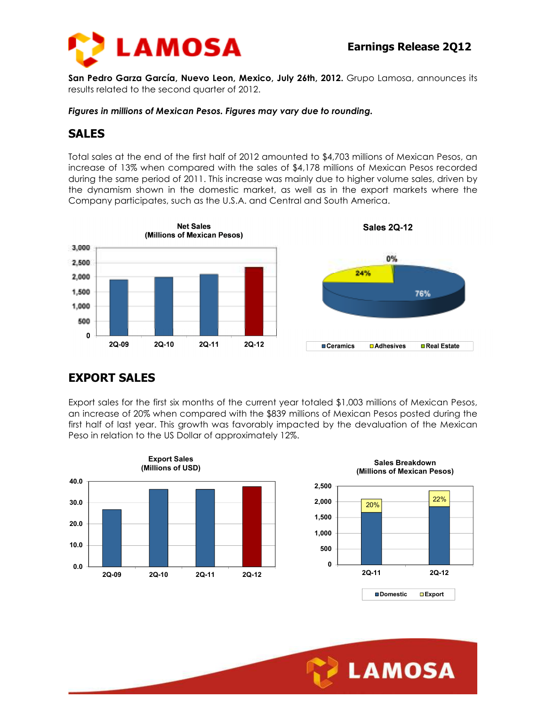

**San Pedro Garza García, Nuevo Leon, Mexico, July 26th, 2012.** Grupo Lamosa, announces its results related to the second quarter of 2012.

*Figures in millions of Mexican Pesos. Figures may vary due to rounding.* 

#### **SALES**

Total sales at the end of the first half of 2012 amounted to \$4,703 millions of Mexican Pesos, an increase of 13% when compared with the sales of \$4,178 millions of Mexican Pesos recorded during the same period of 2011. This increase was mainly due to higher volume sales, driven by the dynamism shown in the domestic market, as well as in the export markets where the Company participates, such as the U.S.A. and Central and South America.



# **EXPORT SALES**

Export sales for the first six months of the current year totaled \$1,003 millions of Mexican Pesos, an increase of 20% when compared with the \$839 millions of Mexican Pesos posted during the first half of last year. This growth was favorably impacted by the devaluation of the Mexican Peso in relation to the US Dollar of approximately 12%.

Ī





**Domestic Export**

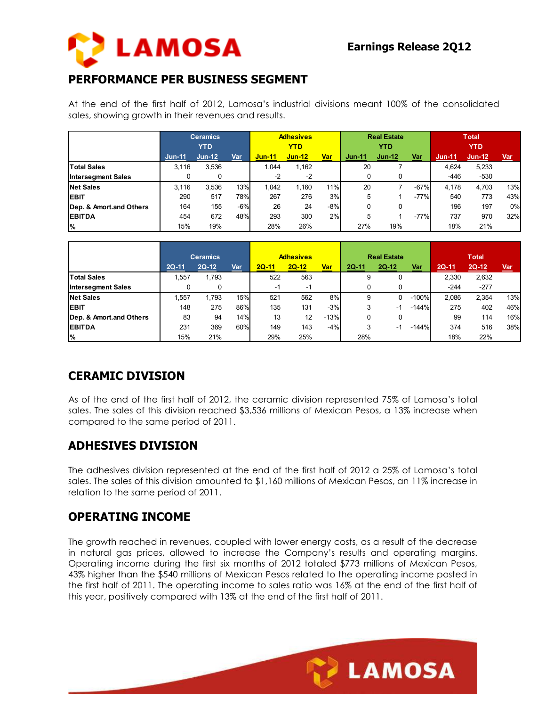

# **PERFORMANCE PER BUSINESS SEGMENT**

At the end of the first half of 2012, Lamosa's industrial divisions meant 100% of the consolidated sales, showing growth in their revenues and results.

|                           | <b>Ceramics</b><br><b>YTD</b> |          |       | <b>Adhesives</b><br>YTD |          |       | <b>Real Estate</b><br><b>YTD</b> |          |        | <b>Total</b><br><b>YTD</b> |          |       |
|---------------------------|-------------------------------|----------|-------|-------------------------|----------|-------|----------------------------------|----------|--------|----------------------------|----------|-------|
|                           | $Jun-11$                      | $Jun-12$ | Var   | $J$ un-11               | $Jun-12$ | Var   | $Jun-11$                         | $Jun-12$ | Var    | $Jun-11$                   | $Jun-12$ | Var   |
| <b>Total Sales</b>        | 3.116                         | 3.536    |       | 1.044                   | 1,162    |       | 20                               |          |        | 4.624                      | 5.233    |       |
| <b>Intersegment Sales</b> |                               |          |       | $-2$                    | $-2$     |       | 0                                |          |        | $-446$                     | $-530$   |       |
| <b>Net Sales</b>          | 3.116                         | 3.536    | 13%   | 1.042                   | 1.160    | 11%   | 20                               |          | $-67%$ | 4.178                      | 4.703    | 13%   |
| <b>EBIT</b>               | 290                           | 517      | 78%   | 267                     | 276      | 3%    | 5                                |          | $-77%$ | 540                        | 773      | 43%   |
| Dep. & Amort.and Others   | 164                           | 155      | $-6%$ | 26                      | 24       | $-8%$ | 0                                | 0        |        | 196                        | 197      | $0\%$ |
| <b>EBITDA</b>             | 454                           | 672      | 48%   | 293                     | 300      | 2%    | 5                                |          | $-77%$ | 737                        | 970      | 32%   |
| %                         | 15%                           | 19%      |       | 28%                     | 26%      |       | 27%                              | 19%      |        | 18%                        | 21%      |       |

|                           |         | <b>Ceramics</b> |     | <b>Adhesives</b> |         |        |         | <b>Real Estate</b> |         | <b>Total</b> |         |       |
|---------------------------|---------|-----------------|-----|------------------|---------|--------|---------|--------------------|---------|--------------|---------|-------|
|                           | $2Q-11$ | $2Q-12$         | Var | $2Q-11$          | $2Q-12$ | Var    | $2Q-11$ | $2Q-12$            | Var     | $2Q-11$      | $2Q-12$ | $Var$ |
| <b>Total Sales</b>        | .557    | 1,793           |     | 522              | 563     |        | 9       | 0                  |         | 2,330        | 2,632   |       |
| <b>Intersegment Sales</b> |         |                 |     | -1               | $-1$    |        | 0       |                    |         | $-244$       | $-277$  |       |
| <b>Net Sales</b>          | ,557    | 1.793           | 15% | 521              | 562     | 8%     | 9       |                    | $-100%$ | 2,086        | 2,354   | 13%   |
| <b>EBIT</b>               | 148     | 275             | 86% | 135              | 131     | $-3%$  | 3       | - 1                | $-144%$ | 275          | 402     | 46%   |
| Dep. & Amort.and Others   | 83      | 94              | 14% | 13               | 12      | $-13%$ | 0       | 0                  |         | 99           | 114     | 16%   |
| <b>EBITDA</b>             | 231     | 369             | 60% | 149              | 143     | $-4%$  | 3       | - 1                | -144%   | 374          | 516     | 38%   |
| %                         | 15%     | 21%             |     | 29%              | 25%     |        | 28%     |                    |         | 18%          | 22%     |       |

# **CERAMIC DIVISION**

As of the end of the first half of 2012, the ceramic division represented 75% of Lamosa's total sales. The sales of this division reached \$3,536 millions of Mexican Pesos, a 13% increase when compared to the same period of 2011.

# **ADHESIVES DIVISION**

The adhesives division represented at the end of the first half of 2012 a 25% of Lamosa's total sales. The sales of this division amounted to \$1,160 millions of Mexican Pesos, an 11% increase in relation to the same period of 2011.

#### **OPERATING INCOME**

The growth reached in revenues, coupled with lower energy costs, as a result of the decrease in natural gas prices, allowed to increase the Company's results and operating margins. Operating income during the first six months of 2012 totaled \$773 millions of Mexican Pesos, 43% higher than the \$540 millions of Mexican Pesos related to the operating income posted in the first half of 2011. The operating income to sales ratio was 16% at the end of the first half of this year, positively compared with 13% at the end of the first half of 2011.

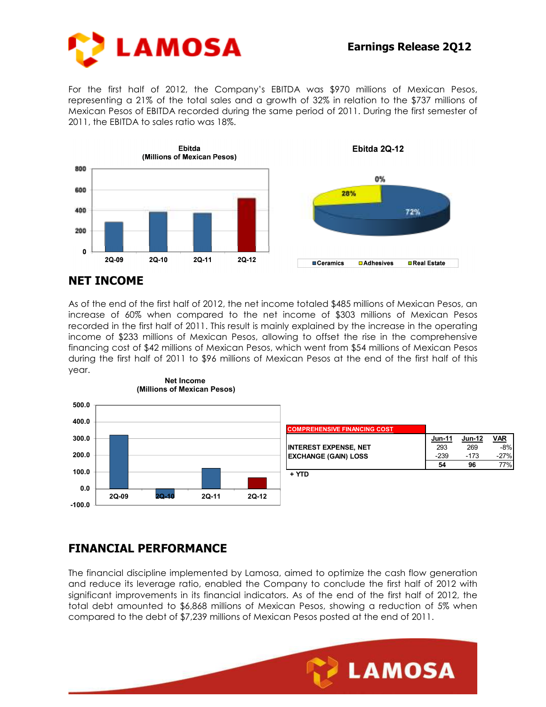

For the first half of 2012, the Company's EBITDA was \$970 millions of Mexican Pesos, representing a 21% of the total sales and a growth of 32% in relation to the \$737 millions of Mexican Pesos of EBITDA recorded during the same period of 2011. During the first semester of 2011, the EBITDA to sales ratio was 18%.



#### **NET INCOME**

As of the end of the first half of 2012, the net income totaled \$485 millions of Mexican Pesos, an increase of 60% when compared to the net income of \$303 millions of Mexican Pesos recorded in the first half of 2011. This result is mainly explained by the increase in the operating income of \$233 millions of Mexican Pesos, allowing to offset the rise in the comprehensive financing cost of \$42 millions of Mexican Pesos, which went from \$54 millions of Mexican Pesos during the first half of 2011 to \$96 millions of Mexican Pesos at the end of the first half of this year.



# **FINANCIAL PERFORMANCE**

The financial discipline implemented by Lamosa, aimed to optimize the cash flow generation and reduce its leverage ratio, enabled the Company to conclude the first half of 2012 with significant improvements in its financial indicators. As of the end of the first half of 2012, the total debt amounted to \$6,868 millions of Mexican Pesos, showing a reduction of 5% when compared to the debt of \$7,239 millions of Mexican Pesos posted at the end of 2011.